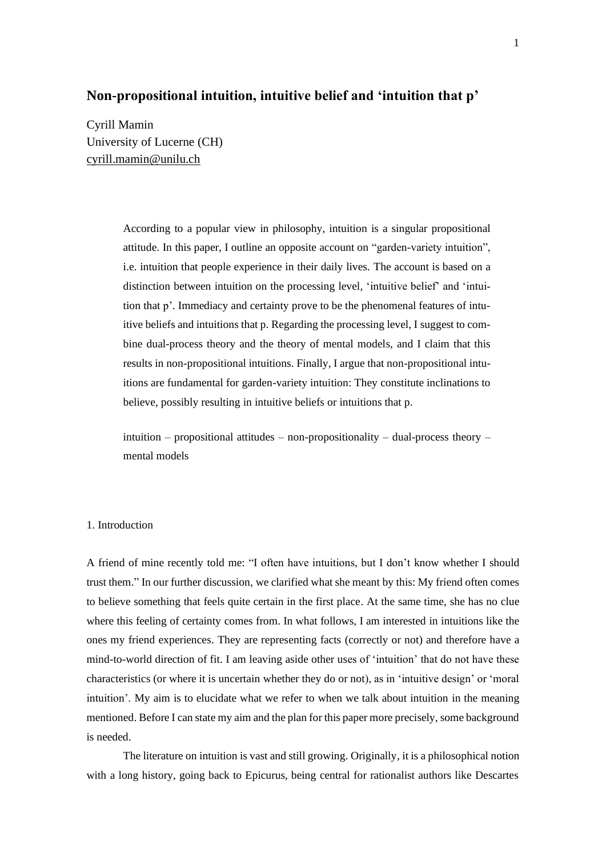# **Non-propositional intuition, intuitive belief and 'intuition that p'**

Cyrill Mamin University of Lucerne (CH) [cyrill.mamin@unilu.ch](mailto:cyrill.mamin@unilu.ch)

> According to a popular view in philosophy, intuition is a singular propositional attitude. In this paper, I outline an opposite account on "garden-variety intuition", i.e. intuition that people experience in their daily lives. The account is based on a distinction between intuition on the processing level, 'intuitive belief' and 'intuition that p'. Immediacy and certainty prove to be the phenomenal features of intuitive beliefs and intuitions that p. Regarding the processing level, I suggest to combine dual-process theory and the theory of mental models, and I claim that this results in non-propositional intuitions. Finally, I argue that non-propositional intuitions are fundamental for garden-variety intuition: They constitute inclinations to believe, possibly resulting in intuitive beliefs or intuitions that p.

> intuition – propositional attitudes – non-propositionality – dual-process theory – mental models

### 1. Introduction

A friend of mine recently told me: "I often have intuitions, but I don't know whether I should trust them." In our further discussion, we clarified what she meant by this: My friend often comes to believe something that feels quite certain in the first place. At the same time, she has no clue where this feeling of certainty comes from. In what follows, I am interested in intuitions like the ones my friend experiences. They are representing facts (correctly or not) and therefore have a mind-to-world direction of fit. I am leaving aside other uses of 'intuition' that do not have these characteristics (or where it is uncertain whether they do or not), as in 'intuitive design' or 'moral intuition'. My aim is to elucidate what we refer to when we talk about intuition in the meaning mentioned. Before I can state my aim and the plan for this paper more precisely, some background is needed.

The literature on intuition is vast and still growing. Originally, it is a philosophical notion with a long history, going back to Epicurus, being central for rationalist authors like Descartes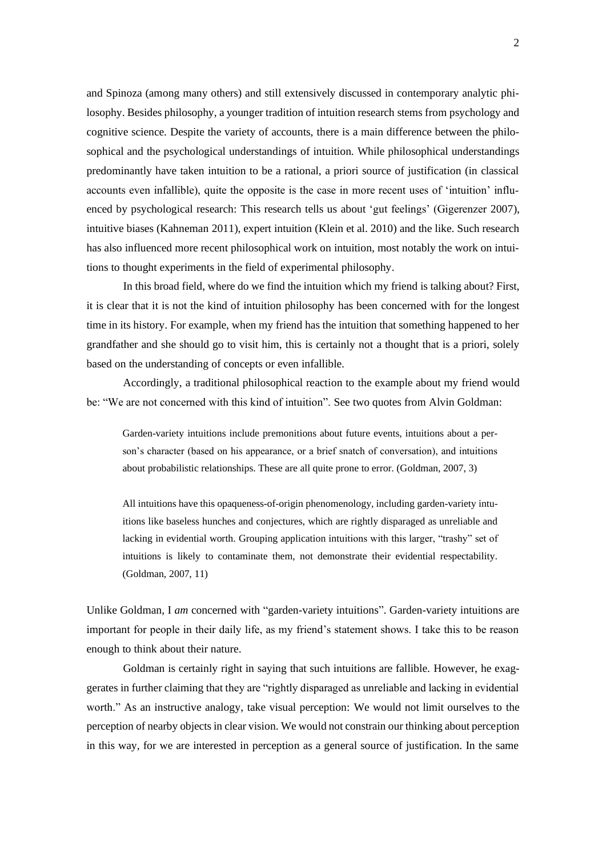and Spinoza (among many others) and still extensively discussed in contemporary analytic philosophy. Besides philosophy, a younger tradition of intuition research stems from psychology and cognitive science. Despite the variety of accounts, there is a main difference between the philosophical and the psychological understandings of intuition. While philosophical understandings predominantly have taken intuition to be a rational, a priori source of justification (in classical accounts even infallible), quite the opposite is the case in more recent uses of 'intuition' influenced by psychological research: This research tells us about 'gut feelings' (Gigerenzer 2007), intuitive biases (Kahneman 2011), expert intuition (Klein et al. 2010) and the like. Such research has also influenced more recent philosophical work on intuition, most notably the work on intuitions to thought experiments in the field of experimental philosophy.

In this broad field, where do we find the intuition which my friend is talking about? First, it is clear that it is not the kind of intuition philosophy has been concerned with for the longest time in its history. For example, when my friend has the intuition that something happened to her grandfather and she should go to visit him, this is certainly not a thought that is a priori, solely based on the understanding of concepts or even infallible.

Accordingly, a traditional philosophical reaction to the example about my friend would be: "We are not concerned with this kind of intuition". See two quotes from Alvin Goldman:

Garden-variety intuitions include premonitions about future events, intuitions about a person's character (based on his appearance, or a brief snatch of conversation), and intuitions about probabilistic relationships. These are all quite prone to error. (Goldman, 2007, 3)

All intuitions have this opaqueness-of-origin phenomenology, including garden-variety intuitions like baseless hunches and conjectures, which are rightly disparaged as unreliable and lacking in evidential worth. Grouping application intuitions with this larger, "trashy" set of intuitions is likely to contaminate them, not demonstrate their evidential respectability. (Goldman, 2007, 11)

Unlike Goldman, I *am* concerned with "garden-variety intuitions". Garden-variety intuitions are important for people in their daily life, as my friend's statement shows. I take this to be reason enough to think about their nature.

Goldman is certainly right in saying that such intuitions are fallible. However, he exaggerates in further claiming that they are "rightly disparaged as unreliable and lacking in evidential worth." As an instructive analogy, take visual perception: We would not limit ourselves to the perception of nearby objects in clear vision. We would not constrain our thinking about perception in this way, for we are interested in perception as a general source of justification. In the same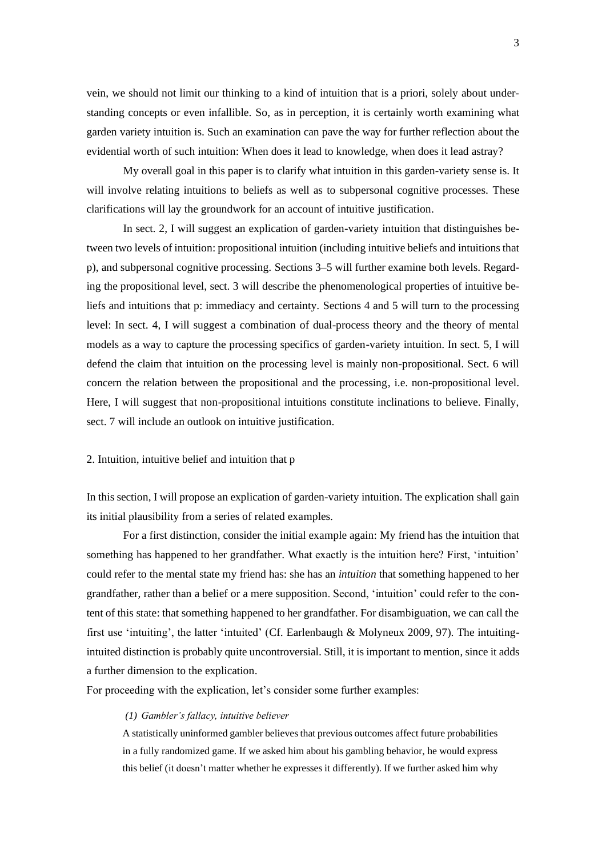vein, we should not limit our thinking to a kind of intuition that is a priori, solely about understanding concepts or even infallible. So, as in perception, it is certainly worth examining what garden variety intuition is. Such an examination can pave the way for further reflection about the evidential worth of such intuition: When does it lead to knowledge, when does it lead astray?

My overall goal in this paper is to clarify what intuition in this garden-variety sense is. It will involve relating intuitions to beliefs as well as to subpersonal cognitive processes. These clarifications will lay the groundwork for an account of intuitive justification.

In sect. 2, I will suggest an explication of garden-variety intuition that distinguishes between two levels of intuition: propositional intuition (including intuitive beliefs and intuitions that p), and subpersonal cognitive processing. Sections 3–5 will further examine both levels. Regarding the propositional level, sect. 3 will describe the phenomenological properties of intuitive beliefs and intuitions that p: immediacy and certainty. Sections 4 and 5 will turn to the processing level: In sect. 4, I will suggest a combination of dual-process theory and the theory of mental models as a way to capture the processing specifics of garden-variety intuition. In sect. 5, I will defend the claim that intuition on the processing level is mainly non-propositional. Sect. 6 will concern the relation between the propositional and the processing, i.e. non-propositional level. Here, I will suggest that non-propositional intuitions constitute inclinations to believe. Finally, sect. 7 will include an outlook on intuitive justification.

#### 2. Intuition, intuitive belief and intuition that p

In this section, I will propose an explication of garden-variety intuition. The explication shall gain its initial plausibility from a series of related examples.

For a first distinction, consider the initial example again: My friend has the intuition that something has happened to her grandfather. What exactly is the intuition here? First, 'intuition' could refer to the mental state my friend has: she has an *intuition* that something happened to her grandfather, rather than a belief or a mere supposition. Second, 'intuition' could refer to the content of this state: that something happened to her grandfather. For disambiguation, we can call the first use 'intuiting', the latter 'intuited' (Cf. Earlenbaugh & Molyneux 2009, 97). The intuitingintuited distinction is probably quite uncontroversial. Still, it is important to mention, since it adds a further dimension to the explication.

For proceeding with the explication, let's consider some further examples:

### *(1) Gambler's fallacy, intuitive believer*

A statistically uninformed gambler believes that previous outcomes affect future probabilities in a fully randomized game. If we asked him about his gambling behavior, he would express this belief (it doesn't matter whether he expresses it differently). If we further asked him why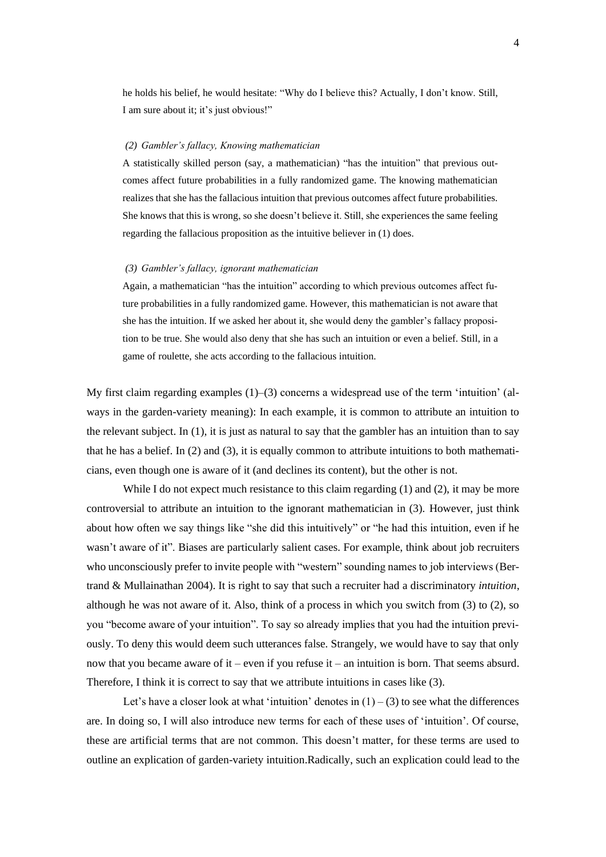he holds his belief, he would hesitate: "Why do I believe this? Actually, I don't know. Still, I am sure about it; it's just obvious!"

#### *(2) Gambler's fallacy, Knowing mathematician*

A statistically skilled person (say, a mathematician) "has the intuition" that previous outcomes affect future probabilities in a fully randomized game. The knowing mathematician realizes that she has the fallacious intuition that previous outcomes affect future probabilities. She knows that this is wrong, so she doesn't believe it. Still, she experiences the same feeling regarding the fallacious proposition as the intuitive believer in (1) does.

#### *(3) Gambler's fallacy, ignorant mathematician*

Again, a mathematician "has the intuition" according to which previous outcomes affect future probabilities in a fully randomized game. However, this mathematician is not aware that she has the intuition. If we asked her about it, she would deny the gambler's fallacy proposition to be true. She would also deny that she has such an intuition or even a belief. Still, in a game of roulette, she acts according to the fallacious intuition.

My first claim regarding examples  $(1)$ – $(3)$  concerns a widespread use of the term 'intuition' (always in the garden-variety meaning): In each example, it is common to attribute an intuition to the relevant subject. In (1), it is just as natural to say that the gambler has an intuition than to say that he has a belief. In (2) and (3), it is equally common to attribute intuitions to both mathematicians, even though one is aware of it (and declines its content), but the other is not.

While I do not expect much resistance to this claim regarding (1) and (2), it may be more controversial to attribute an intuition to the ignorant mathematician in (3). However, just think about how often we say things like "she did this intuitively" or "he had this intuition, even if he wasn't aware of it". Biases are particularly salient cases. For example, think about job recruiters who unconsciously prefer to invite people with "western" sounding names to job interviews (Bertrand & Mullainathan 2004). It is right to say that such a recruiter had a discriminatory *intuition*, although he was not aware of it. Also, think of a process in which you switch from (3) to (2), so you "become aware of your intuition". To say so already implies that you had the intuition previously. To deny this would deem such utterances false. Strangely, we would have to say that only now that you became aware of it – even if you refuse it – an intuition is born. That seems absurd. Therefore, I think it is correct to say that we attribute intuitions in cases like (3).

Let's have a closer look at what 'intuition' denotes in  $(1) - (3)$  to see what the differences are. In doing so, I will also introduce new terms for each of these uses of 'intuition'. Of course, these are artificial terms that are not common. This doesn't matter, for these terms are used to outline an explication of garden-variety intuition.Radically, such an explication could lead to the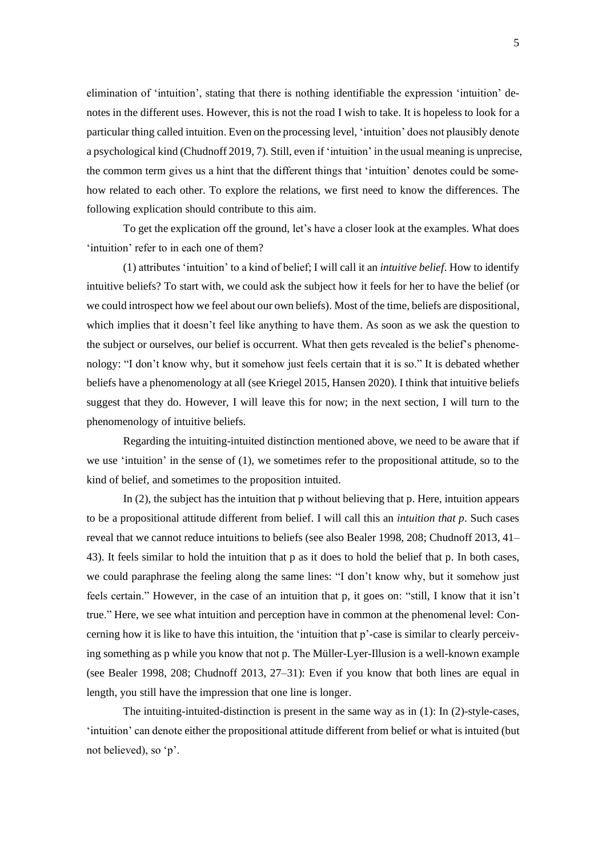elimination of 'intuition', stating that there is nothing identifiable the expression 'intuition' denotes in the different uses. However, this is not the road I wish to take. It is hopeless to look for a particular thing called intuition. Even on the processing level, 'intuition' does not plausibly denote a psychological kind (Chudnoff 2019, 7). Still, even if 'intuition' in the usual meaning is unprecise, the common term gives us a hint that the different things that 'intuition' denotes could be somehow related to each other. To explore the relations, we first need to know the differences. The following explication should contribute to this aim.

To get the explication off the ground, let's have a closer look at the examples. What does 'intuition' refer to in each one of them?

(1) attributes 'intuition' to a kind of belief; I will call it an *intuitive belief*. How to identify intuitive beliefs? To start with, we could ask the subject how it feels for her to have the belief (or we could introspect how we feel about our own beliefs). Most of the time, beliefs are dispositional, which implies that it doesn't feel like anything to have them. As soon as we ask the question to the subject or ourselves, our belief is occurrent. What then gets revealed is the belief's phenomenology: "I don't know why, but it somehow just feels certain that it is so." It is debated whether beliefs have a phenomenology at all (see Kriegel 2015, Hansen 2020). I think that intuitive beliefs suggest that they do. However, I will leave this for now; in the next section, I will turn to the phenomenology of intuitive beliefs.

Regarding the intuiting-intuited distinction mentioned above, we need to be aware that if we use 'intuition' in the sense of (1), we sometimes refer to the propositional attitude, so to the kind of belief, and sometimes to the proposition intuited.

In (2), the subject has the intuition that p without believing that p. Here, intuition appears to be a propositional attitude different from belief. I will call this an *intuition that p*. Such cases reveal that we cannot reduce intuitions to beliefs (see also Bealer 1998, 208; Chudnoff 2013, 41– 43). It feels similar to hold the intuition that p as it does to hold the belief that p. In both cases, we could paraphrase the feeling along the same lines: "I don't know why, but it somehow just feels certain." However, in the case of an intuition that p, it goes on: "still, I know that it isn't true." Here, we see what intuition and perception have in common at the phenomenal level: Concerning how it is like to have this intuition, the 'intuition that p'-case is similar to clearly perceiving something as p while you know that not p. The Müller-Lyer-Illusion is a well-known example (see Bealer 1998, 208; Chudnoff 2013, 27–31): Even if you know that both lines are equal in length, you still have the impression that one line is longer.

The intuiting-intuited-distinction is present in the same way as in (1): In (2)-style-cases, 'intuition' can denote either the propositional attitude different from belief or what is intuited (but not believed), so 'p'.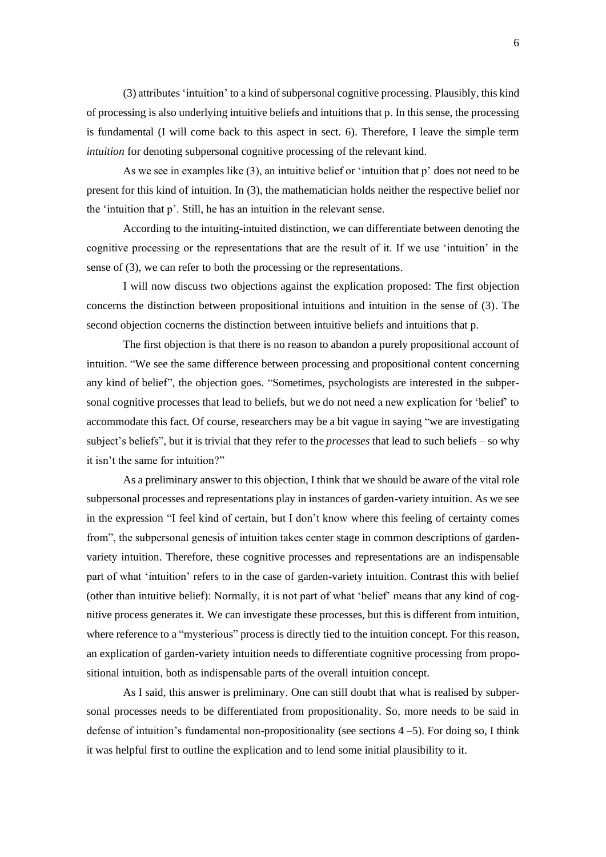(3) attributes 'intuition' to a kind of subpersonal cognitive processing. Plausibly, this kind of processing is also underlying intuitive beliefs and intuitions that p. In this sense, the processing is fundamental (I will come back to this aspect in sect. 6). Therefore, I leave the simple term *intuition* for denoting subpersonal cognitive processing of the relevant kind.

As we see in examples like (3), an intuitive belief or 'intuition that p' does not need to be present for this kind of intuition. In (3), the mathematician holds neither the respective belief nor the 'intuition that p'. Still, he has an intuition in the relevant sense.

According to the intuiting-intuited distinction, we can differentiate between denoting the cognitive processing or the representations that are the result of it. If we use 'intuition' in the sense of (3), we can refer to both the processing or the representations.

I will now discuss two objections against the explication proposed: The first objection concerns the distinction between propositional intuitions and intuition in the sense of (3). The second objection cocnerns the distinction between intuitive beliefs and intuitions that p.

The first objection is that there is no reason to abandon a purely propositional account of intuition. "We see the same difference between processing and propositional content concerning any kind of belief", the objection goes. "Sometimes, psychologists are interested in the subpersonal cognitive processes that lead to beliefs, but we do not need a new explication for 'belief' to accommodate this fact. Of course, researchers may be a bit vague in saying "we are investigating subject's beliefs", but it is trivial that they refer to the *processes* that lead to such beliefs – so why it isn't the same for intuition?"

As a preliminary answer to this objection, I think that we should be aware of the vital role subpersonal processes and representations play in instances of garden-variety intuition. As we see in the expression "I feel kind of certain, but I don't know where this feeling of certainty comes from", the subpersonal genesis of intuition takes center stage in common descriptions of gardenvariety intuition. Therefore, these cognitive processes and representations are an indispensable part of what 'intuition' refers to in the case of garden-variety intuition. Contrast this with belief (other than intuitive belief): Normally, it is not part of what 'belief' means that any kind of cognitive process generates it. We can investigate these processes, but this is different from intuition, where reference to a "mysterious" process is directly tied to the intuition concept. For this reason, an explication of garden-variety intuition needs to differentiate cognitive processing from propositional intuition, both as indispensable parts of the overall intuition concept.

As I said, this answer is preliminary. One can still doubt that what is realised by subpersonal processes needs to be differentiated from propositionality. So, more needs to be said in defense of intuition's fundamental non-propositionality (see sections  $4-5$ ). For doing so, I think it was helpful first to outline the explication and to lend some initial plausibility to it.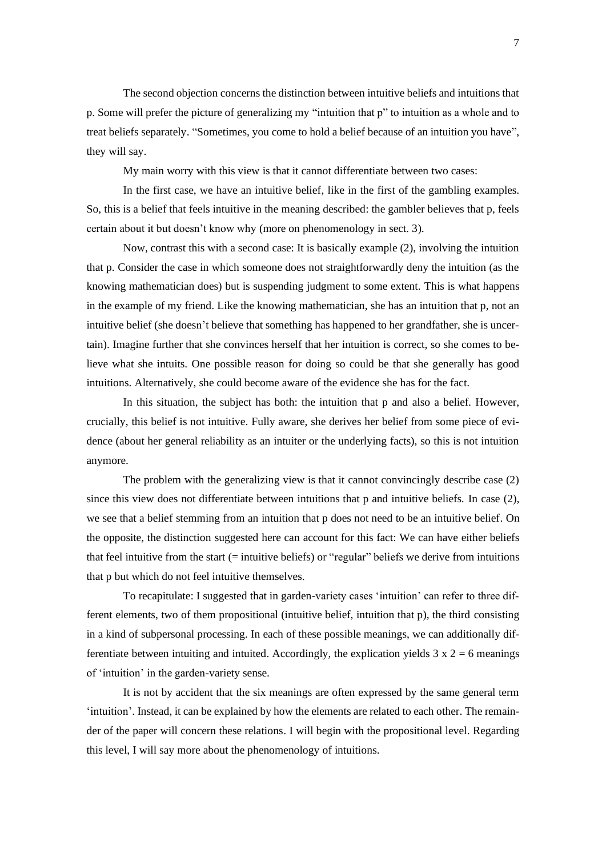The second objection concerns the distinction between intuitive beliefs and intuitions that p. Some will prefer the picture of generalizing my "intuition that p" to intuition as a whole and to treat beliefs separately. "Sometimes, you come to hold a belief because of an intuition you have", they will say.

My main worry with this view is that it cannot differentiate between two cases:

In the first case, we have an intuitive belief, like in the first of the gambling examples. So, this is a belief that feels intuitive in the meaning described: the gambler believes that p, feels certain about it but doesn't know why (more on phenomenology in sect. 3).

Now, contrast this with a second case: It is basically example (2), involving the intuition that p. Consider the case in which someone does not straightforwardly deny the intuition (as the knowing mathematician does) but is suspending judgment to some extent. This is what happens in the example of my friend. Like the knowing mathematician, she has an intuition that p, not an intuitive belief (she doesn't believe that something has happened to her grandfather, she is uncertain). Imagine further that she convinces herself that her intuition is correct, so she comes to believe what she intuits. One possible reason for doing so could be that she generally has good intuitions. Alternatively, she could become aware of the evidence she has for the fact.

In this situation, the subject has both: the intuition that p and also a belief. However, crucially, this belief is not intuitive. Fully aware, she derives her belief from some piece of evidence (about her general reliability as an intuiter or the underlying facts), so this is not intuition anymore.

The problem with the generalizing view is that it cannot convincingly describe case (2) since this view does not differentiate between intuitions that p and intuitive beliefs. In case (2), we see that a belief stemming from an intuition that p does not need to be an intuitive belief. On the opposite, the distinction suggested here can account for this fact: We can have either beliefs that feel intuitive from the start (= intuitive beliefs) or "regular" beliefs we derive from intuitions that p but which do not feel intuitive themselves.

To recapitulate: I suggested that in garden-variety cases 'intuition' can refer to three different elements, two of them propositional (intuitive belief, intuition that p), the third consisting in a kind of subpersonal processing. In each of these possible meanings, we can additionally differentiate between intuiting and intuited. Accordingly, the explication yields  $3 \times 2 = 6$  meanings of 'intuition' in the garden-variety sense.

It is not by accident that the six meanings are often expressed by the same general term 'intuition'. Instead, it can be explained by how the elements are related to each other. The remainder of the paper will concern these relations. I will begin with the propositional level. Regarding this level, I will say more about the phenomenology of intuitions.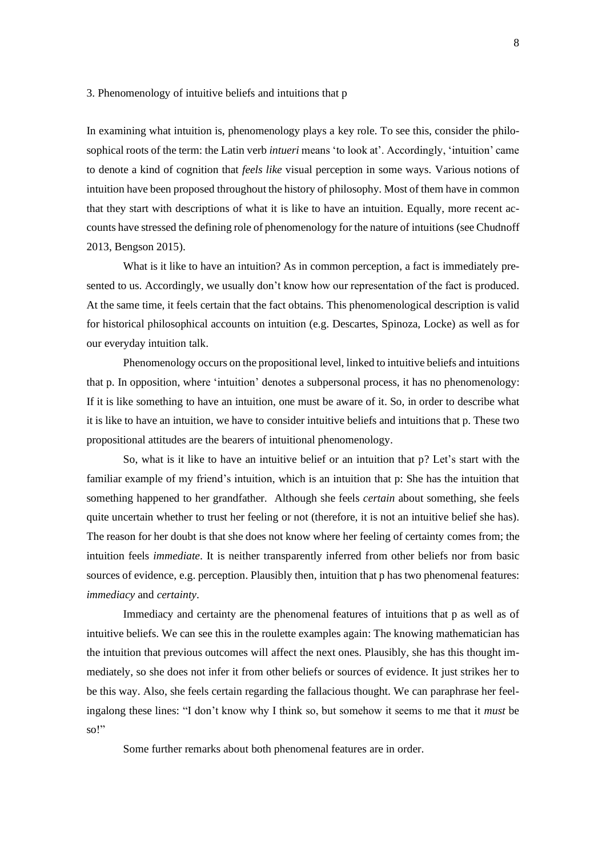### 3. Phenomenology of intuitive beliefs and intuitions that p

In examining what intuition is, phenomenology plays a key role. To see this, consider the philosophical roots of the term: the Latin verb *intueri* means 'to look at'. Accordingly, 'intuition' came to denote a kind of cognition that *feels like* visual perception in some ways. Various notions of intuition have been proposed throughout the history of philosophy. Most of them have in common that they start with descriptions of what it is like to have an intuition. Equally, more recent accounts have stressed the defining role of phenomenology for the nature of intuitions (see Chudnoff 2013, Bengson 2015).

What is it like to have an intuition? As in common perception, a fact is immediately presented to us. Accordingly, we usually don't know how our representation of the fact is produced. At the same time, it feels certain that the fact obtains. This phenomenological description is valid for historical philosophical accounts on intuition (e.g. Descartes, Spinoza, Locke) as well as for our everyday intuition talk.

Phenomenology occurs on the propositional level, linked to intuitive beliefs and intuitions that p. In opposition, where 'intuition' denotes a subpersonal process, it has no phenomenology: If it is like something to have an intuition, one must be aware of it. So, in order to describe what it is like to have an intuition, we have to consider intuitive beliefs and intuitions that p. These two propositional attitudes are the bearers of intuitional phenomenology.

So, what is it like to have an intuitive belief or an intuition that p? Let's start with the familiar example of my friend's intuition, which is an intuition that p: She has the intuition that something happened to her grandfather. Although she feels *certain* about something, she feels quite uncertain whether to trust her feeling or not (therefore, it is not an intuitive belief she has). The reason for her doubt is that she does not know where her feeling of certainty comes from; the intuition feels *immediate*. It is neither transparently inferred from other beliefs nor from basic sources of evidence, e.g. perception. Plausibly then, intuition that p has two phenomenal features: *immediacy* and *certainty*.

Immediacy and certainty are the phenomenal features of intuitions that p as well as of intuitive beliefs. We can see this in the roulette examples again: The knowing mathematician has the intuition that previous outcomes will affect the next ones. Plausibly, she has this thought immediately, so she does not infer it from other beliefs or sources of evidence. It just strikes her to be this way. Also, she feels certain regarding the fallacious thought. We can paraphrase her feelingalong these lines: "I don't know why I think so, but somehow it seems to me that it *must* be so!"

Some further remarks about both phenomenal features are in order.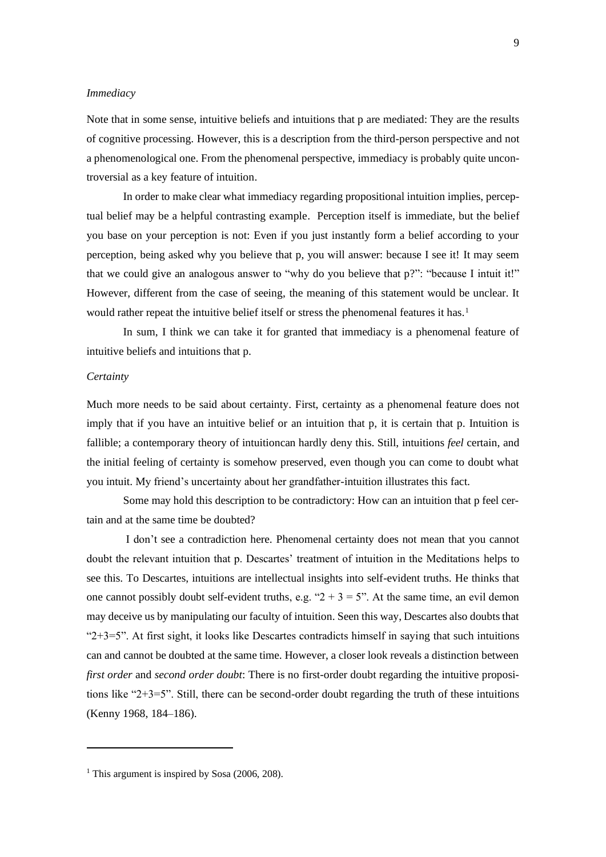### *Immediacy*

Note that in some sense, intuitive beliefs and intuitions that p are mediated: They are the results of cognitive processing. However, this is a description from the third-person perspective and not a phenomenological one. From the phenomenal perspective, immediacy is probably quite uncontroversial as a key feature of intuition.

In order to make clear what immediacy regarding propositional intuition implies, perceptual belief may be a helpful contrasting example. Perception itself is immediate, but the belief you base on your perception is not: Even if you just instantly form a belief according to your perception, being asked why you believe that p, you will answer: because I see it! It may seem that we could give an analogous answer to "why do you believe that p?": "because I intuit it!" However, different from the case of seeing, the meaning of this statement would be unclear. It would rather repeat the intuitive belief itself or stress the phenomenal features it has*.* 1

In sum, I think we can take it for granted that immediacy is a phenomenal feature of intuitive beliefs and intuitions that p.

### *Certainty*

Much more needs to be said about certainty. First, certainty as a phenomenal feature does not imply that if you have an intuitive belief or an intuition that p, it is certain that p. Intuition is fallible; a contemporary theory of intuitioncan hardly deny this. Still, intuitions *feel* certain, and the initial feeling of certainty is somehow preserved, even though you can come to doubt what you intuit. My friend's uncertainty about her grandfather-intuition illustrates this fact.

Some may hold this description to be contradictory: How can an intuition that p feel certain and at the same time be doubted?

I don't see a contradiction here. Phenomenal certainty does not mean that you cannot doubt the relevant intuition that p. Descartes' treatment of intuition in the Meditations helps to see this. To Descartes, intuitions are intellectual insights into self-evident truths. He thinks that one cannot possibly doubt self-evident truths, e.g. " $2 + 3 = 5$ ". At the same time, an evil demon may deceive us by manipulating our faculty of intuition. Seen this way, Descartes also doubts that " $2+3=5$ ". At first sight, it looks like Descartes contradicts himself in saying that such intuitions can and cannot be doubted at the same time. However, a closer look reveals a distinction between *first order* and *second order doubt*: There is no first-order doubt regarding the intuitive propositions like " $2+3=5$ ". Still, there can be second-order doubt regarding the truth of these intuitions (Kenny 1968, 184–186).

<sup>&</sup>lt;sup>1</sup> This argument is inspired by Sosa (2006, 208).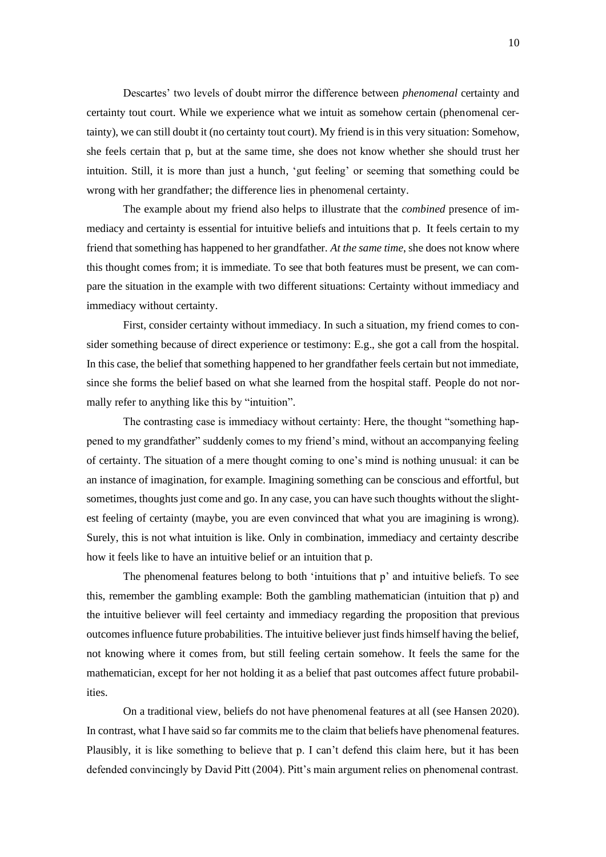Descartes' two levels of doubt mirror the difference between *phenomenal* certainty and certainty tout court. While we experience what we intuit as somehow certain (phenomenal certainty), we can still doubt it (no certainty tout court). My friend is in this very situation: Somehow, she feels certain that p, but at the same time, she does not know whether she should trust her intuition. Still, it is more than just a hunch, 'gut feeling' or seeming that something could be wrong with her grandfather; the difference lies in phenomenal certainty.

The example about my friend also helps to illustrate that the *combined* presence of immediacy and certainty is essential for intuitive beliefs and intuitions that p. It feels certain to my friend that something has happened to her grandfather. *At the same time*, she does not know where this thought comes from; it is immediate. To see that both features must be present, we can compare the situation in the example with two different situations: Certainty without immediacy and immediacy without certainty.

First, consider certainty without immediacy. In such a situation, my friend comes to consider something because of direct experience or testimony: E.g., she got a call from the hospital. In this case, the belief that something happened to her grandfather feels certain but not immediate, since she forms the belief based on what she learned from the hospital staff. People do not normally refer to anything like this by "intuition".

The contrasting case is immediacy without certainty: Here, the thought "something happened to my grandfather" suddenly comes to my friend's mind, without an accompanying feeling of certainty. The situation of a mere thought coming to one's mind is nothing unusual: it can be an instance of imagination, for example. Imagining something can be conscious and effortful, but sometimes, thoughts just come and go. In any case, you can have such thoughts without the slightest feeling of certainty (maybe, you are even convinced that what you are imagining is wrong). Surely, this is not what intuition is like. Only in combination, immediacy and certainty describe how it feels like to have an intuitive belief or an intuition that p.

The phenomenal features belong to both 'intuitions that p' and intuitive beliefs. To see this, remember the gambling example: Both the gambling mathematician (intuition that p) and the intuitive believer will feel certainty and immediacy regarding the proposition that previous outcomes influence future probabilities. The intuitive believer just finds himself having the belief, not knowing where it comes from, but still feeling certain somehow. It feels the same for the mathematician, except for her not holding it as a belief that past outcomes affect future probabilities.

On a traditional view, beliefs do not have phenomenal features at all (see Hansen 2020). In contrast, what I have said so far commits me to the claim that beliefs have phenomenal features. Plausibly, it is like something to believe that p. I can't defend this claim here, but it has been defended convincingly by David Pitt (2004). Pitt's main argument relies on phenomenal contrast.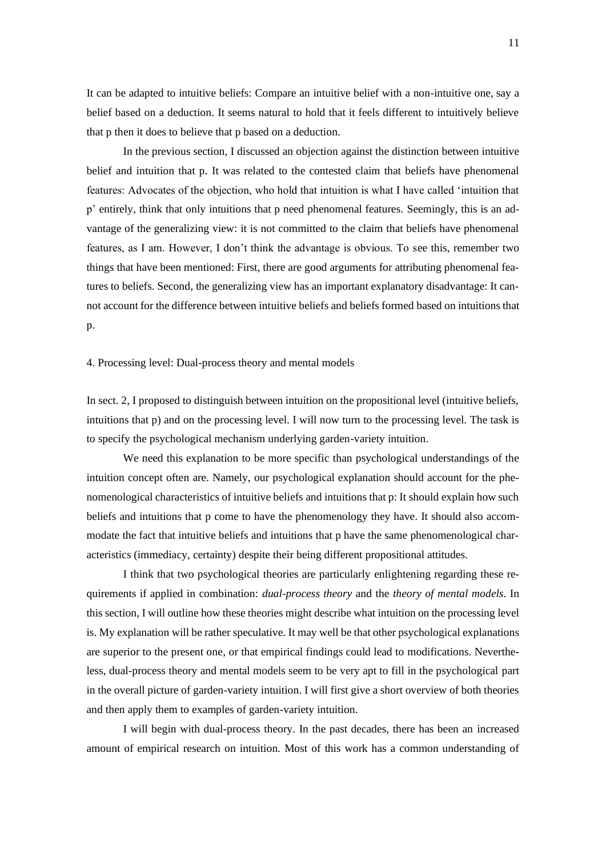It can be adapted to intuitive beliefs: Compare an intuitive belief with a non-intuitive one, say a belief based on a deduction. It seems natural to hold that it feels different to intuitively believe that p then it does to believe that p based on a deduction.

In the previous section, I discussed an objection against the distinction between intuitive belief and intuition that p. It was related to the contested claim that beliefs have phenomenal features: Advocates of the objection, who hold that intuition is what I have called 'intuition that p' entirely, think that only intuitions that p need phenomenal features. Seemingly, this is an advantage of the generalizing view: it is not committed to the claim that beliefs have phenomenal features, as I am. However, I don't think the advantage is obvious. To see this, remember two things that have been mentioned: First, there are good arguments for attributing phenomenal features to beliefs. Second, the generalizing view has an important explanatory disadvantage: It cannot account for the difference between intuitive beliefs and beliefs formed based on intuitions that p.

4. Processing level: Dual-process theory and mental models

In sect. 2, I proposed to distinguish between intuition on the propositional level (intuitive beliefs, intuitions that p) and on the processing level. I will now turn to the processing level. The task is to specify the psychological mechanism underlying garden-variety intuition.

We need this explanation to be more specific than psychological understandings of the intuition concept often are. Namely, our psychological explanation should account for the phenomenological characteristics of intuitive beliefs and intuitions that p: It should explain how such beliefs and intuitions that p come to have the phenomenology they have. It should also accommodate the fact that intuitive beliefs and intuitions that p have the same phenomenological characteristics (immediacy, certainty) despite their being different propositional attitudes.

I think that two psychological theories are particularly enlightening regarding these requirements if applied in combination: *dual-process theory* and the *theory of mental models*. In this section, I will outline how these theories might describe what intuition on the processing level is. My explanation will be rather speculative. It may well be that other psychological explanations are superior to the present one, or that empirical findings could lead to modifications. Nevertheless, dual-process theory and mental models seem to be very apt to fill in the psychological part in the overall picture of garden-variety intuition. I will first give a short overview of both theories and then apply them to examples of garden-variety intuition.

I will begin with dual-process theory. In the past decades, there has been an increased amount of empirical research on intuition. Most of this work has a common understanding of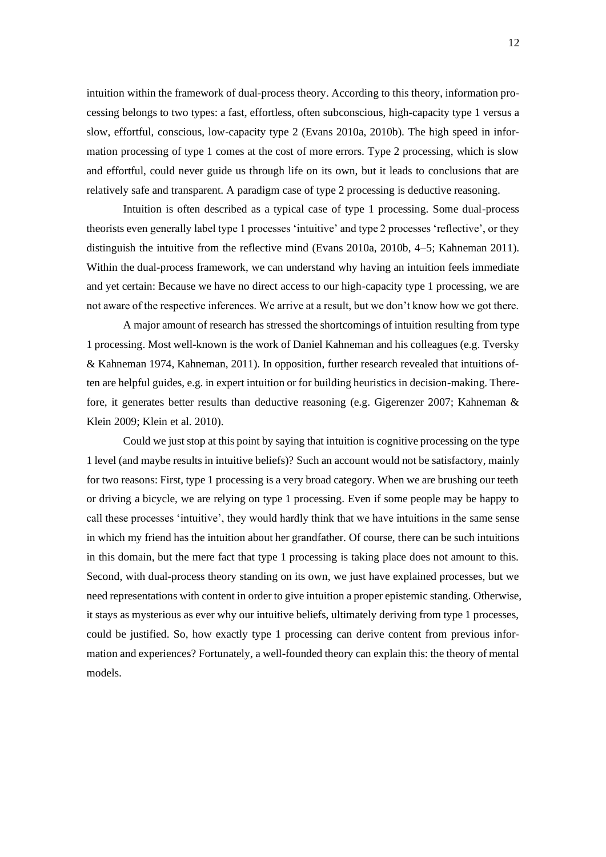intuition within the framework of dual-process theory. According to this theory, information processing belongs to two types: a fast, effortless, often subconscious, high-capacity type 1 versus a slow, effortful, conscious, low-capacity type 2 (Evans 2010a, 2010b). The high speed in information processing of type 1 comes at the cost of more errors. Type 2 processing, which is slow and effortful, could never guide us through life on its own, but it leads to conclusions that are relatively safe and transparent. A paradigm case of type 2 processing is deductive reasoning.

Intuition is often described as a typical case of type 1 processing. Some dual-process theorists even generally label type 1 processes 'intuitive' and type 2 processes 'reflective', or they distinguish the intuitive from the reflective mind (Evans 2010a, 2010b, 4–5; Kahneman 2011). Within the dual-process framework, we can understand why having an intuition feels immediate and yet certain: Because we have no direct access to our high-capacity type 1 processing, we are not aware of the respective inferences. We arrive at a result, but we don't know how we got there.

A major amount of research has stressed the shortcomings of intuition resulting from type 1 processing. Most well-known is the work of Daniel Kahneman and his colleagues (e.g. Tversky & Kahneman 1974, Kahneman, 2011). In opposition, further research revealed that intuitions often are helpful guides, e.g. in expert intuition or for building heuristics in decision-making. Therefore, it generates better results than deductive reasoning (e.g. Gigerenzer 2007; Kahneman & Klein 2009; Klein et al. 2010).

Could we just stop at this point by saying that intuition is cognitive processing on the type 1 level (and maybe results in intuitive beliefs)? Such an account would not be satisfactory, mainly for two reasons: First, type 1 processing is a very broad category. When we are brushing our teeth or driving a bicycle, we are relying on type 1 processing. Even if some people may be happy to call these processes 'intuitive', they would hardly think that we have intuitions in the same sense in which my friend has the intuition about her grandfather. Of course, there can be such intuitions in this domain, but the mere fact that type 1 processing is taking place does not amount to this. Second, with dual-process theory standing on its own, we just have explained processes, but we need representations with content in order to give intuition a proper epistemic standing. Otherwise, it stays as mysterious as ever why our intuitive beliefs, ultimately deriving from type 1 processes, could be justified. So, how exactly type 1 processing can derive content from previous information and experiences? Fortunately, a well-founded theory can explain this: the theory of mental models.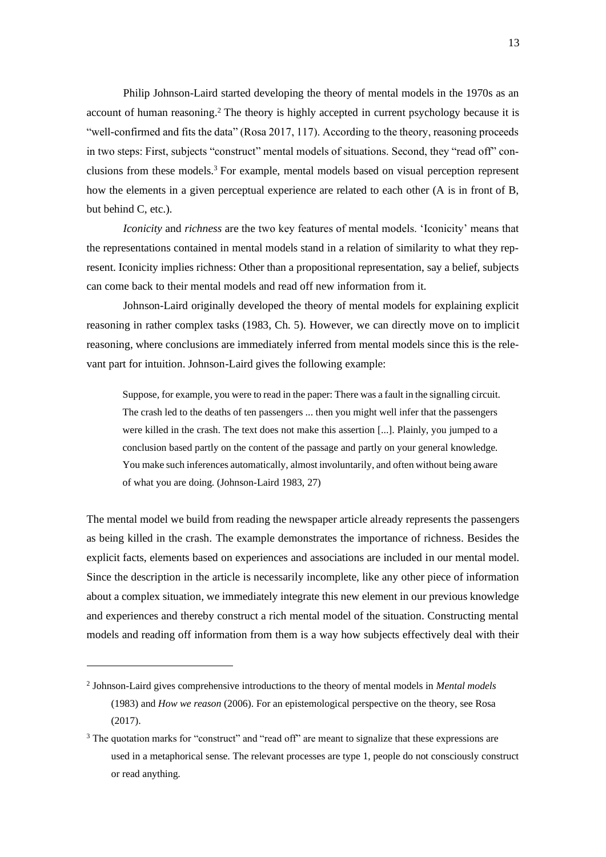Philip Johnson-Laird started developing the theory of mental models in the 1970s as an account of human reasoning.<sup>2</sup> The theory is highly accepted in current psychology because it is "well-confirmed and fits the data" (Rosa 2017, 117). According to the theory, reasoning proceeds in two steps: First, subjects "construct" mental models of situations. Second, they "read off" conclusions from these models.<sup>3</sup> For example, mental models based on visual perception represent how the elements in a given perceptual experience are related to each other (A is in front of B, but behind C, etc.).

*Iconicity* and *richness* are the two key features of mental models. 'Iconicity' means that the representations contained in mental models stand in a relation of similarity to what they represent. Iconicity implies richness: Other than a propositional representation, say a belief, subjects can come back to their mental models and read off new information from it.

Johnson-Laird originally developed the theory of mental models for explaining explicit reasoning in rather complex tasks (1983, Ch. 5). However, we can directly move on to implicit reasoning, where conclusions are immediately inferred from mental models since this is the relevant part for intuition. Johnson-Laird gives the following example:

Suppose, for example, you were to read in the paper: There was a fault in the signalling circuit. The crash led to the deaths of ten passengers ... then you might well infer that the passengers were killed in the crash. The text does not make this assertion [...]. Plainly, you jumped to a conclusion based partly on the content of the passage and partly on your general knowledge. You make such inferences automatically, almost involuntarily, and often without being aware of what you are doing. (Johnson-Laird 1983, 27)

The mental model we build from reading the newspaper article already represents the passengers as being killed in the crash. The example demonstrates the importance of richness. Besides the explicit facts, elements based on experiences and associations are included in our mental model. Since the description in the article is necessarily incomplete, like any other piece of information about a complex situation, we immediately integrate this new element in our previous knowledge and experiences and thereby construct a rich mental model of the situation. Constructing mental models and reading off information from them is a way how subjects effectively deal with their

<sup>2</sup> Johnson-Laird gives comprehensive introductions to the theory of mental models in *Mental models* (1983) and *How we reason* (2006). For an epistemological perspective on the theory, see Rosa (2017).

<sup>&</sup>lt;sup>3</sup> The quotation marks for "construct" and "read off" are meant to signalize that these expressions are used in a metaphorical sense. The relevant processes are type 1, people do not consciously construct or read anything.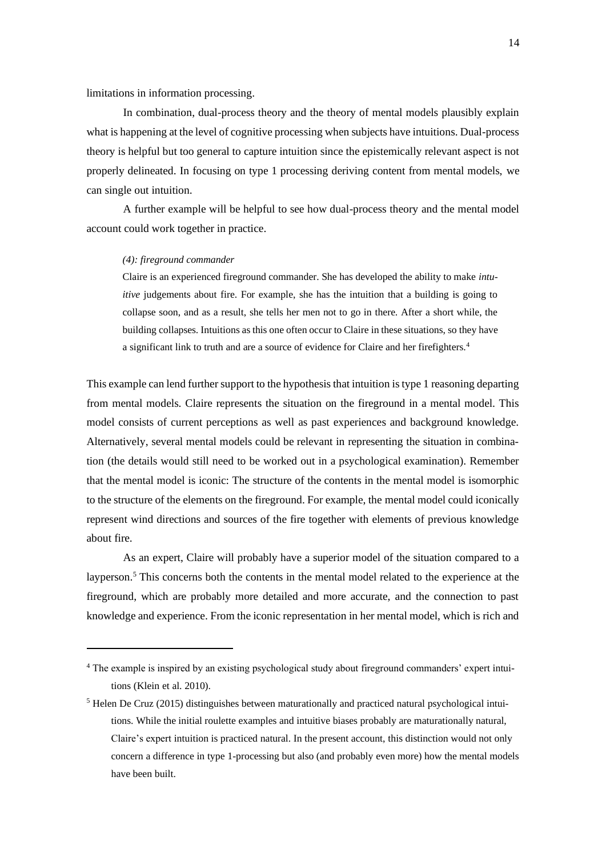limitations in information processing.

In combination, dual-process theory and the theory of mental models plausibly explain what is happening at the level of cognitive processing when subjects have intuitions. Dual-process theory is helpful but too general to capture intuition since the epistemically relevant aspect is not properly delineated. In focusing on type 1 processing deriving content from mental models, we can single out intuition.

A further example will be helpful to see how dual-process theory and the mental model account could work together in practice.

### *(4): fireground commander*

Claire is an experienced fireground commander. She has developed the ability to make *intuitive* judgements about fire. For example, she has the intuition that a building is going to collapse soon, and as a result, she tells her men not to go in there. After a short while, the building collapses. Intuitions as this one often occur to Claire in these situations, so they have a significant link to truth and are a source of evidence for Claire and her firefighters.<sup>4</sup>

This example can lend further support to the hypothesis that intuition is type 1 reasoning departing from mental models. Claire represents the situation on the fireground in a mental model. This model consists of current perceptions as well as past experiences and background knowledge. Alternatively, several mental models could be relevant in representing the situation in combination (the details would still need to be worked out in a psychological examination). Remember that the mental model is iconic: The structure of the contents in the mental model is isomorphic to the structure of the elements on the fireground. For example, the mental model could iconically represent wind directions and sources of the fire together with elements of previous knowledge about fire.

As an expert, Claire will probably have a superior model of the situation compared to a layperson.<sup>5</sup> This concerns both the contents in the mental model related to the experience at the fireground, which are probably more detailed and more accurate, and the connection to past knowledge and experience. From the iconic representation in her mental model, which is rich and

<sup>4</sup> The example is inspired by an existing psychological study about fireground commanders' expert intuitions (Klein et al. 2010).

<sup>5</sup> Helen De Cruz (2015) distinguishes between maturationally and practiced natural psychological intuitions. While the initial roulette examples and intuitive biases probably are maturationally natural, Claire's expert intuition is practiced natural. In the present account, this distinction would not only concern a difference in type 1-processing but also (and probably even more) how the mental models have been built.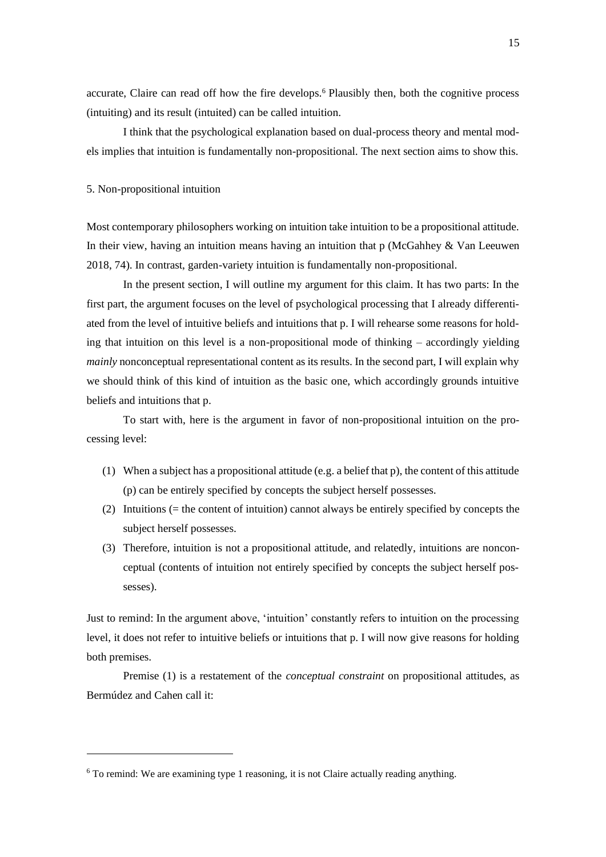accurate, Claire can read off how the fire develops.<sup>6</sup> Plausibly then, both the cognitive process (intuiting) and its result (intuited) can be called intuition.

I think that the psychological explanation based on dual-process theory and mental models implies that intuition is fundamentally non-propositional. The next section aims to show this.

### 5. Non-propositional intuition

Most contemporary philosophers working on intuition take intuition to be a propositional attitude. In their view, having an intuition means having an intuition that p (McGahhey & Van Leeuwen 2018, 74). In contrast, garden-variety intuition is fundamentally non-propositional.

In the present section, I will outline my argument for this claim. It has two parts: In the first part, the argument focuses on the level of psychological processing that I already differentiated from the level of intuitive beliefs and intuitions that p. I will rehearse some reasons for holding that intuition on this level is a non-propositional mode of thinking – accordingly yielding *mainly* nonconceptual representational content as its results. In the second part, I will explain why we should think of this kind of intuition as the basic one, which accordingly grounds intuitive beliefs and intuitions that p.

To start with, here is the argument in favor of non-propositional intuition on the processing level:

- (1) When a subject has a propositional attitude (e.g. a belief that p), the content of this attitude (p) can be entirely specified by concepts the subject herself possesses.
- (2) Intuitions (= the content of intuition) cannot always be entirely specified by concepts the subject herself possesses.
- (3) Therefore, intuition is not a propositional attitude, and relatedly, intuitions are nonconceptual (contents of intuition not entirely specified by concepts the subject herself possesses).

Just to remind: In the argument above, 'intuition' constantly refers to intuition on the processing level, it does not refer to intuitive beliefs or intuitions that p. I will now give reasons for holding both premises.

Premise (1) is a restatement of the *conceptual constraint* on propositional attitudes, as Bermúdez and Cahen call it:

<sup>6</sup> To remind: We are examining type 1 reasoning, it is not Claire actually reading anything.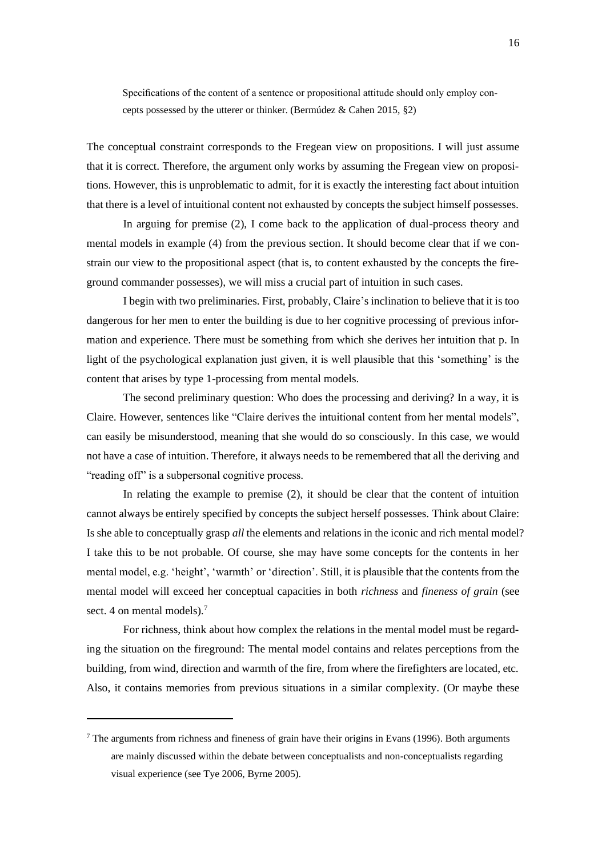Specifications of the content of a sentence or propositional attitude should only employ concepts possessed by the utterer or thinker. (Bermúdez & Cahen 2015, §2)

The conceptual constraint corresponds to the Fregean view on propositions. I will just assume that it is correct. Therefore, the argument only works by assuming the Fregean view on propositions. However, this is unproblematic to admit, for it is exactly the interesting fact about intuition that there is a level of intuitional content not exhausted by concepts the subject himself possesses.

In arguing for premise (2), I come back to the application of dual-process theory and mental models in example (4) from the previous section. It should become clear that if we constrain our view to the propositional aspect (that is, to content exhausted by the concepts the fireground commander possesses), we will miss a crucial part of intuition in such cases.

I begin with two preliminaries. First, probably, Claire's inclination to believe that it is too dangerous for her men to enter the building is due to her cognitive processing of previous information and experience. There must be something from which she derives her intuition that p. In light of the psychological explanation just given, it is well plausible that this 'something' is the content that arises by type 1-processing from mental models.

The second preliminary question: Who does the processing and deriving? In a way, it is Claire. However, sentences like "Claire derives the intuitional content from her mental models", can easily be misunderstood, meaning that she would do so consciously. In this case, we would not have a case of intuition. Therefore, it always needs to be remembered that all the deriving and "reading off" is a subpersonal cognitive process.

In relating the example to premise (2), it should be clear that the content of intuition cannot always be entirely specified by concepts the subject herself possesses. Think about Claire: Is she able to conceptually grasp *all* the elements and relations in the iconic and rich mental model? I take this to be not probable. Of course, she may have some concepts for the contents in her mental model, e.g. 'height', 'warmth' or 'direction'. Still, it is plausible that the contents from the mental model will exceed her conceptual capacities in both *richness* and *fineness of grain* (see sect. 4 on mental models).<sup>7</sup>

For richness, think about how complex the relations in the mental model must be regarding the situation on the fireground: The mental model contains and relates perceptions from the building, from wind, direction and warmth of the fire, from where the firefighters are located, etc. Also, it contains memories from previous situations in a similar complexity. (Or maybe these

 $<sup>7</sup>$  The arguments from richness and fineness of grain have their origins in Evans (1996). Both arguments</sup> are mainly discussed within the debate between conceptualists and non-conceptualists regarding visual experience (see Tye 2006, Byrne 2005).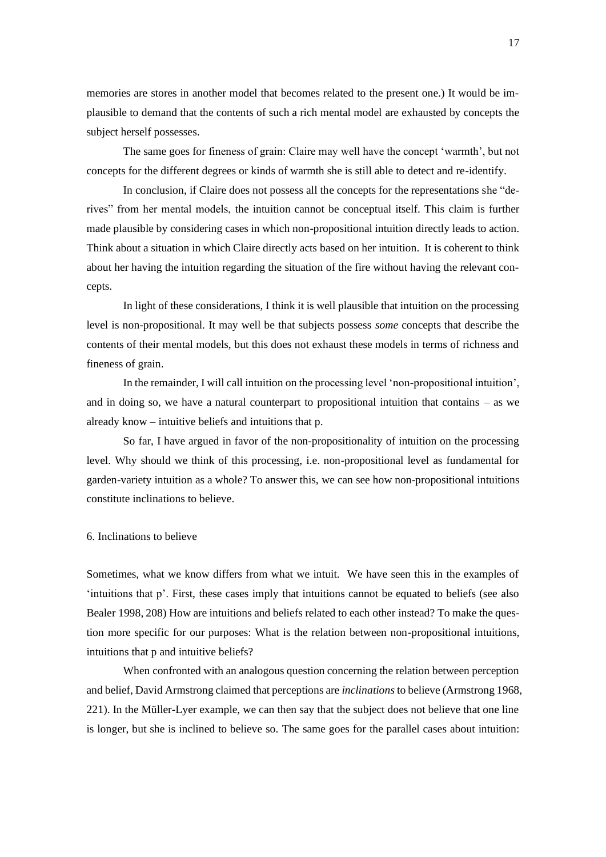memories are stores in another model that becomes related to the present one.) It would be implausible to demand that the contents of such a rich mental model are exhausted by concepts the subject herself possesses.

The same goes for fineness of grain: Claire may well have the concept 'warmth', but not concepts for the different degrees or kinds of warmth she is still able to detect and re-identify.

In conclusion, if Claire does not possess all the concepts for the representations she "derives" from her mental models, the intuition cannot be conceptual itself. This claim is further made plausible by considering cases in which non-propositional intuition directly leads to action. Think about a situation in which Claire directly acts based on her intuition. It is coherent to think about her having the intuition regarding the situation of the fire without having the relevant concepts.

In light of these considerations, I think it is well plausible that intuition on the processing level is non-propositional. It may well be that subjects possess *some* concepts that describe the contents of their mental models, but this does not exhaust these models in terms of richness and fineness of grain.

In the remainder, I will call intuition on the processing level 'non-propositional intuition', and in doing so, we have a natural counterpart to propositional intuition that contains – as we already know – intuitive beliefs and intuitions that p.

So far, I have argued in favor of the non-propositionality of intuition on the processing level. Why should we think of this processing, i.e. non-propositional level as fundamental for garden-variety intuition as a whole? To answer this, we can see how non-propositional intuitions constitute inclinations to believe.

### 6. Inclinations to believe

Sometimes, what we know differs from what we intuit. We have seen this in the examples of 'intuitions that p'. First, these cases imply that intuitions cannot be equated to beliefs (see also Bealer 1998, 208) How are intuitions and beliefs related to each other instead? To make the question more specific for our purposes: What is the relation between non-propositional intuitions, intuitions that p and intuitive beliefs?

When confronted with an analogous question concerning the relation between perception and belief, David Armstrong claimed that perceptions are *inclinations* to believe (Armstrong 1968, 221). In the Müller-Lyer example, we can then say that the subject does not believe that one line is longer, but she is inclined to believe so. The same goes for the parallel cases about intuition: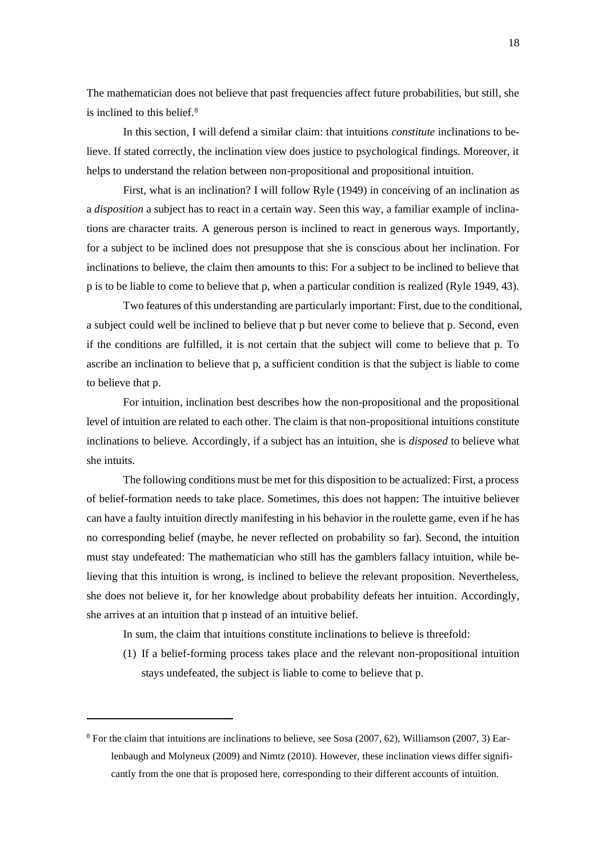The mathematician does not believe that past frequencies affect future probabilities, but still, she is inclined to this belief.<sup>8</sup>

In this section, I will defend a similar claim: that intuitions *constitute* inclinations to believe. If stated correctly, the inclination view does justice to psychological findings. Moreover, it helps to understand the relation between non-propositional and propositional intuition.

First, what is an inclination? I will follow Ryle (1949) in conceiving of an inclination as a *disposition* a subject has to react in a certain way. Seen this way, a familiar example of inclinations are character traits. A generous person is inclined to react in generous ways. Importantly, for a subject to be inclined does not presuppose that she is conscious about her inclination. For inclinations to believe, the claim then amounts to this: For a subject to be inclined to believe that p is to be liable to come to believe that p, when a particular condition is realized (Ryle 1949, 43).

Two features of this understanding are particularly important: First, due to the conditional, a subject could well be inclined to believe that p but never come to believe that p. Second, even if the conditions are fulfilled, it is not certain that the subject will come to believe that p. To ascribe an inclination to believe that p, a sufficient condition is that the subject is liable to come to believe that p.

For intuition, inclination best describes how the non-propositional and the propositional level of intuition are related to each other. The claim is that non-propositional intuitions constitute inclinations to believe. Accordingly, if a subject has an intuition, she is *disposed* to believe what she intuits.

The following conditions must be met for this disposition to be actualized: First, a process of belief-formation needs to take place. Sometimes, this does not happen: The intuitive believer can have a faulty intuition directly manifesting in his behavior in the roulette game, even if he has no corresponding belief (maybe, he never reflected on probability so far). Second, the intuition must stay undefeated: The mathematician who still has the gamblers fallacy intuition, while believing that this intuition is wrong, is inclined to believe the relevant proposition. Nevertheless, she does not believe it, for her knowledge about probability defeats her intuition. Accordingly, she arrives at an intuition that p instead of an intuitive belief.

In sum, the claim that intuitions constitute inclinations to believe is threefold:

(1) If a belief-forming process takes place and the relevant non-propositional intuition stays undefeated, the subject is liable to come to believe that p.

 $8$  For the claim that intuitions are inclinations to believe, see Sosa (2007, 62), Williamson (2007, 3) Earlenbaugh and Molyneux (2009) and Nimtz (2010). However, these inclination views differ significantly from the one that is proposed here, corresponding to their different accounts of intuition.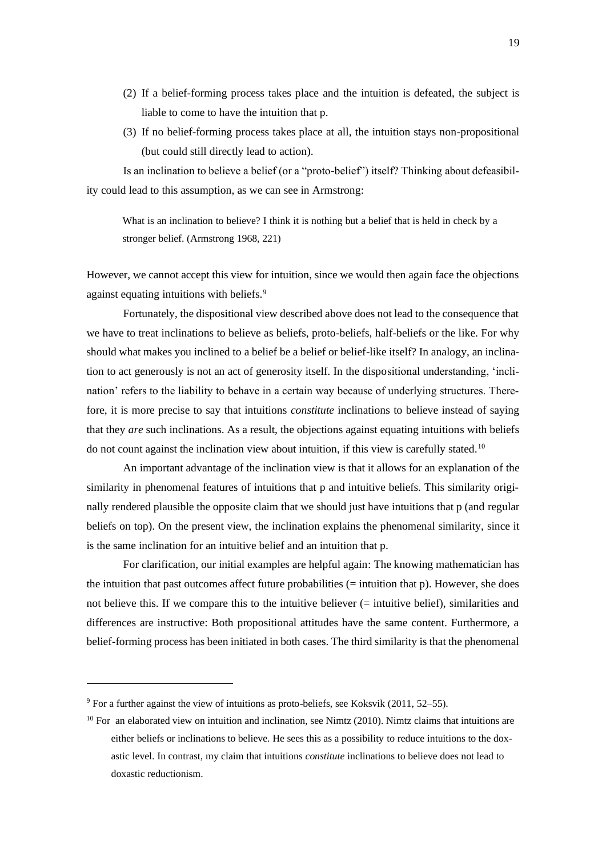- (2) If a belief-forming process takes place and the intuition is defeated, the subject is liable to come to have the intuition that p.
- (3) If no belief-forming process takes place at all, the intuition stays non-propositional (but could still directly lead to action).

Is an inclination to believe a belief (or a "proto-belief") itself? Thinking about defeasibility could lead to this assumption, as we can see in Armstrong:

What is an inclination to believe? I think it is nothing but a belief that is held in check by a stronger belief. (Armstrong 1968, 221)

However, we cannot accept this view for intuition, since we would then again face the objections against equating intuitions with beliefs.<sup>9</sup>

Fortunately, the dispositional view described above does not lead to the consequence that we have to treat inclinations to believe as beliefs, proto-beliefs, half-beliefs or the like. For why should what makes you inclined to a belief be a belief or belief-like itself? In analogy, an inclination to act generously is not an act of generosity itself. In the dispositional understanding, 'inclination' refers to the liability to behave in a certain way because of underlying structures. Therefore, it is more precise to say that intuitions *constitute* inclinations to believe instead of saying that they *are* such inclinations. As a result, the objections against equating intuitions with beliefs do not count against the inclination view about intuition, if this view is carefully stated.<sup>10</sup>

An important advantage of the inclination view is that it allows for an explanation of the similarity in phenomenal features of intuitions that p and intuitive beliefs. This similarity originally rendered plausible the opposite claim that we should just have intuitions that p (and regular beliefs on top). On the present view, the inclination explains the phenomenal similarity, since it is the same inclination for an intuitive belief and an intuition that p.

For clarification, our initial examples are helpful again: The knowing mathematician has the intuition that past outcomes affect future probabilities  $(=$  intuition that  $p$ ). However, she does not believe this. If we compare this to the intuitive believer (= intuitive belief), similarities and differences are instructive: Both propositional attitudes have the same content. Furthermore, a belief-forming process has been initiated in both cases. The third similarity is that the phenomenal

 $9$  For a further against the view of intuitions as proto-beliefs, see Koksvik (2011, 52–55).

 $10$  For an elaborated view on intuition and inclination, see Nimtz (2010). Nimtz claims that intuitions are either beliefs or inclinations to believe. He sees this as a possibility to reduce intuitions to the doxastic level. In contrast, my claim that intuitions *constitute* inclinations to believe does not lead to doxastic reductionism.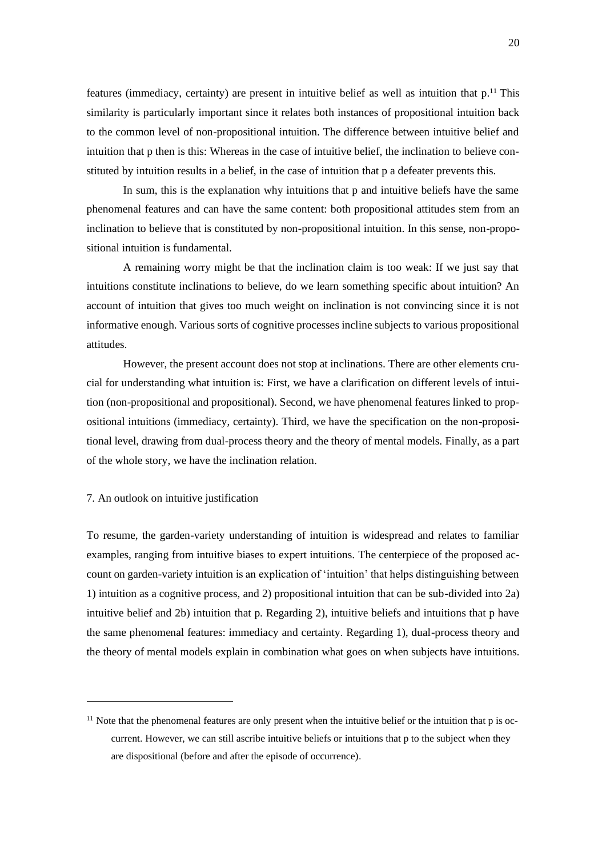features (immediacy, certainty) are present in intuitive belief as well as intuition that  $p$ .<sup>11</sup> This similarity is particularly important since it relates both instances of propositional intuition back to the common level of non-propositional intuition. The difference between intuitive belief and intuition that p then is this: Whereas in the case of intuitive belief, the inclination to believe constituted by intuition results in a belief, in the case of intuition that p a defeater prevents this.

In sum, this is the explanation why intuitions that p and intuitive beliefs have the same phenomenal features and can have the same content: both propositional attitudes stem from an inclination to believe that is constituted by non-propositional intuition. In this sense, non-propositional intuition is fundamental.

A remaining worry might be that the inclination claim is too weak: If we just say that intuitions constitute inclinations to believe, do we learn something specific about intuition? An account of intuition that gives too much weight on inclination is not convincing since it is not informative enough. Various sorts of cognitive processes incline subjects to various propositional attitudes.

However, the present account does not stop at inclinations. There are other elements crucial for understanding what intuition is: First, we have a clarification on different levels of intuition (non-propositional and propositional). Second, we have phenomenal features linked to propositional intuitions (immediacy, certainty). Third, we have the specification on the non-propositional level, drawing from dual-process theory and the theory of mental models. Finally, as a part of the whole story, we have the inclination relation.

## 7. An outlook on intuitive justification

To resume, the garden-variety understanding of intuition is widespread and relates to familiar examples, ranging from intuitive biases to expert intuitions. The centerpiece of the proposed account on garden-variety intuition is an explication of 'intuition' that helps distinguishing between 1) intuition as a cognitive process, and 2) propositional intuition that can be sub-divided into 2a) intuitive belief and 2b) intuition that p. Regarding 2), intuitive beliefs and intuitions that p have the same phenomenal features: immediacy and certainty. Regarding 1), dual-process theory and the theory of mental models explain in combination what goes on when subjects have intuitions.

 $11$  Note that the phenomenal features are only present when the intuitive belief or the intuition that p is occurrent. However, we can still ascribe intuitive beliefs or intuitions that p to the subject when they are dispositional (before and after the episode of occurrence).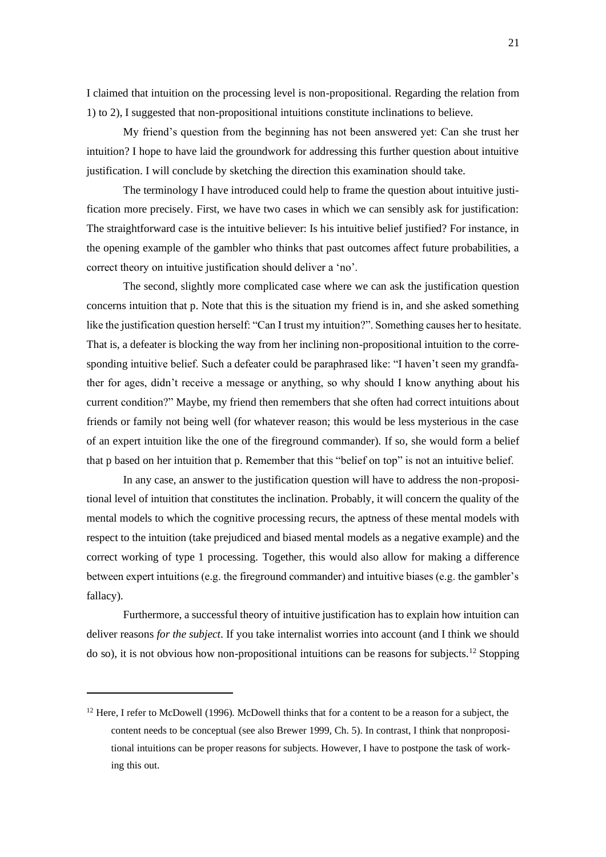I claimed that intuition on the processing level is non-propositional. Regarding the relation from 1) to 2), I suggested that non-propositional intuitions constitute inclinations to believe.

My friend's question from the beginning has not been answered yet: Can she trust her intuition? I hope to have laid the groundwork for addressing this further question about intuitive justification. I will conclude by sketching the direction this examination should take.

The terminology I have introduced could help to frame the question about intuitive justification more precisely. First, we have two cases in which we can sensibly ask for justification: The straightforward case is the intuitive believer: Is his intuitive belief justified? For instance, in the opening example of the gambler who thinks that past outcomes affect future probabilities, a correct theory on intuitive justification should deliver a 'no'.

The second, slightly more complicated case where we can ask the justification question concerns intuition that p. Note that this is the situation my friend is in, and she asked something like the justification question herself: "Can I trust my intuition?". Something causes her to hesitate. That is, a defeater is blocking the way from her inclining non-propositional intuition to the corresponding intuitive belief. Such a defeater could be paraphrased like: "I haven't seen my grandfather for ages, didn't receive a message or anything, so why should I know anything about his current condition?" Maybe, my friend then remembers that she often had correct intuitions about friends or family not being well (for whatever reason; this would be less mysterious in the case of an expert intuition like the one of the fireground commander). If so, she would form a belief that p based on her intuition that p. Remember that this "belief on top" is not an intuitive belief.

In any case, an answer to the justification question will have to address the non-propositional level of intuition that constitutes the inclination. Probably, it will concern the quality of the mental models to which the cognitive processing recurs, the aptness of these mental models with respect to the intuition (take prejudiced and biased mental models as a negative example) and the correct working of type 1 processing. Together, this would also allow for making a difference between expert intuitions (e.g. the fireground commander) and intuitive biases (e.g. the gambler's fallacy).

Furthermore, a successful theory of intuitive justification has to explain how intuition can deliver reasons *for the subject*. If you take internalist worries into account (and I think we should do so), it is not obvious how non-propositional intuitions can be reasons for subjects.<sup>12</sup> Stopping

 $12$  Here, I refer to McDowell (1996). McDowell thinks that for a content to be a reason for a subject, the content needs to be conceptual (see also Brewer 1999, Ch. 5). In contrast, I think that nonpropositional intuitions can be proper reasons for subjects. However, I have to postpone the task of working this out.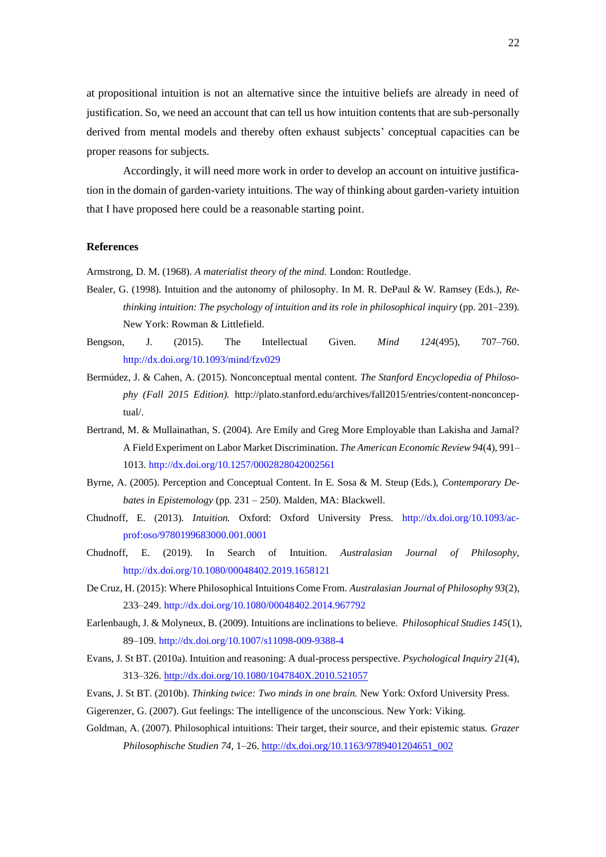at propositional intuition is not an alternative since the intuitive beliefs are already in need of justification. So, we need an account that can tell us how intuition contents that are sub-personally derived from mental models and thereby often exhaust subjects' conceptual capacities can be proper reasons for subjects.

Accordingly, it will need more work in order to develop an account on intuitive justification in the domain of garden-variety intuitions. The way of thinking about garden-variety intuition that I have proposed here could be a reasonable starting point.

### **References**

Armstrong, D. M. (1968). *A materialist theory of the mind.* London: Routledge.

- Bealer, G. (1998). Intuition and the autonomy of philosophy. In M. R. DePaul & W. Ramsey (Eds.), *Rethinking intuition: The psychology of intuition and its role in philosophical inquiry* (pp. 201–239). New York: Rowman & Littlefield.
- Bengson, J. (2015). The Intellectual Given. *Mind 124*(495), 707–760. <http://dx.doi.org/10.1093/mind/fzv029>
- Bermúdez, J. & Cahen, A. (2015). Nonconceptual mental content. *The Stanford Encyclopedia of Philosophy (Fall 2015 Edition).* [http://plato.stanford.edu/archives/fall2015/entries/content-nonconcep](http://plato.stanford.edu/archives/fall2015/entries/content-nonconceptual/)[tual/.](http://plato.stanford.edu/archives/fall2015/entries/content-nonconceptual/)
- Bertrand, M. & Mullainathan, S. (2004). Are Emily and Greg More Employable than Lakisha and Jamal? A Field Experiment on Labor Market Discrimination. *The American Economic Review 94*(4), 991– 1013.<http://dx.doi.org/10.1257/0002828042002561>
- Byrne, A. (2005). Perception and Conceptual Content. In E. Sosa & M. Steup (Eds.), *[Contemporary De](https://philpapers.org/rec/SOSCDI)[bates in Epistemology](https://philpapers.org/rec/SOSCDI)* (pp. 231 – 250). Malden, MA: Blackwell.
- Chudnoff, E. (2013). *Intuition.* Oxford: Oxford University Press. [http://dx.doi.org/10.1093/ac](http://dx.doi.org/10.1093/acprof:oso/9780199683000.001.0001)[prof:oso/9780199683000.001.0001](http://dx.doi.org/10.1093/acprof:oso/9780199683000.001.0001)
- Chudnoff, E. (2019). In Search of Intuition. *Australasian Journal of Philosophy,* <http://dx.doi.org/10.1080/00048402.2019.1658121>
- De Cruz, H. (2015): Where Philosophical Intuitions Come From. *Australasian Journal of Philosophy 93*(2), 233–249.<http://dx.doi.org/10.1080/00048402.2014.967792>
- Earlenbaugh, J. & Molyneux, B. (2009). Intuitions are inclinations to believe. *Philosophical Studies 145*(1), 89–109. <http://dx.doi.org/10.1007/s11098-009-9388-4>
- Evans, J. St BT. (2010a). Intuition and reasoning: A dual-process perspective. *Psychological Inquiry 21*(4), 313–326. <http://dx.doi.org/10.1080/1047840X.2010.521057>
- Evans, J. St BT. (2010b). *Thinking twice: Two minds in one brain.* New York: Oxford University Press.
- Gigerenzer, G. (2007). Gut feelings: The intelligence of the unconscious. New York: Viking.
- Goldman, A. (2007). Philosophical intuitions: Their target, their source, and their epistemic status. *Grazer Philosophische Studien 74*, 1–26. [http://dx.doi.org/10.1163/9789401204651\\_002](http://dx.doi.org/10.1163/9789401204651_002)